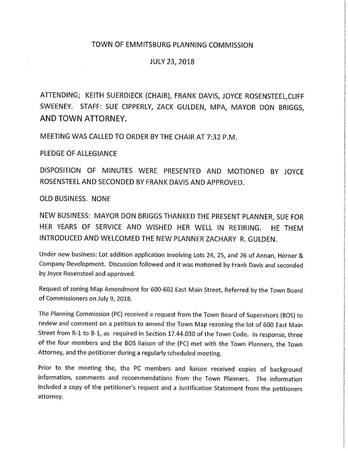## TOWN OF EMMITSBURG PLANNING COMMISSION

## JULY 23, 2018

ATTENDING; KEITH SUERDIECK (CHAIR), FRANK DAVIS, JOYCE ROSENSTEEL,CLIFF SWEENEY. STAFF: SUE CIPPERLY, ZACK GULDEN, MPA, MAYOR DON BRIGGS, **AND TOWN ATTORNEY.** 

MEETING WAS CALLED TO ORDER BY THE CHAIR AT 7:32 P.M.

PLEDGE OF ALLEGIANCE

DISPOSITION OF MINUTES WERE PRESENTED AND MOTIONED BY JOYCE ROSENSTEEL AND SECONDED BY FRANK DAVIS AND APPROVED.

OLD BUSINESS. NONE

NEW BUSINESS: MAYOR DON BRIGGS THANKED THE PRESENT PLANNER, SUE FOR HER YEARS OF SERVICE AND WISHED HER WELL IN RETIRING. HE THEM INTRODUCED AND WELCOMED THE NEW PLANNER ZACHARY R. GULDEN.

Under new business: lot addition application involving lots 24, 25, and 26 of Annan, Horner & Company Development. Discussion followed and it was motioned by Frank Davis and seconded by Joyce Rosensteel and approved.

Request of zoning Map Amendment for 600-602 East Main Street, Referred by the Town Board of Commissioners on July 9, 2018.

The Planning Commission (PC) received a request from the Town Board of Supervisors (BOS) to review and comment on a petition to amend the Town Map rezoning the lot of 600 East Main Street from R-1 to B-1, as required in Section 17.44.030 of the Town Code. In response, three of the four members and the BOS liaison of the (PC) met with the Town Planners, the Town Attorney, and the petitioner during a regularly scheduled meeting.

Prior to the meeting the, the PC members and liaison received copies of background information, comments and recommendations from the Town Planners. The information included a copy of the petitioner's request and a Justification Statement from the petitioners attorney.